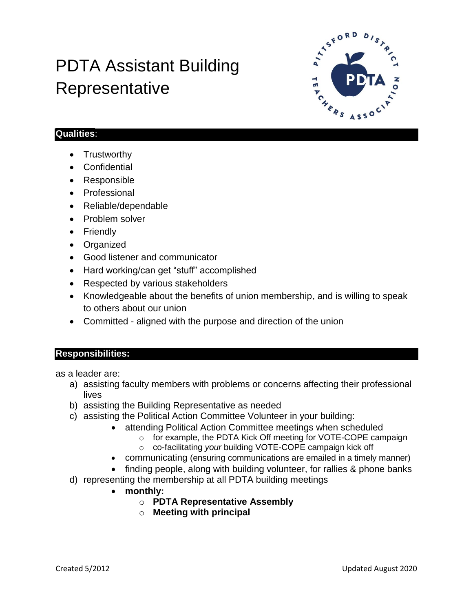# PDTA Assistant Building **Representative**



## **Qualities**:

- Trustworthy
- Confidential
- Responsible
- Professional
- Reliable/dependable
- Problem solver
- Friendly
- Organized
- Good listener and communicator
- Hard working/can get "stuff" accomplished
- Respected by various stakeholders
- Knowledgeable about the benefits of union membership, and is willing to speak to others about our union
- Committed aligned with the purpose and direction of the union

### **Responsibilities:**

as a leader are:

- a) assisting faculty members with problems or concerns affecting their professional lives
- b) assisting the Building Representative as needed
- c) assisting the Political Action Committee Volunteer in your building:
	- attending Political Action Committee meetings when scheduled
		- o for example, the PDTA Kick Off meeting for VOTE-COPE campaign
		- o co-facilitating *your* building VOTE-COPE campaign kick off
		- communicating (ensuring communications are emailed in a timely manner)
	- finding people, along with building volunteer, for rallies & phone banks
- d) representing the membership at all PDTA building meetings
	- **monthly:**
		- o **PDTA Representative Assembly**
		- o **Meeting with principal**